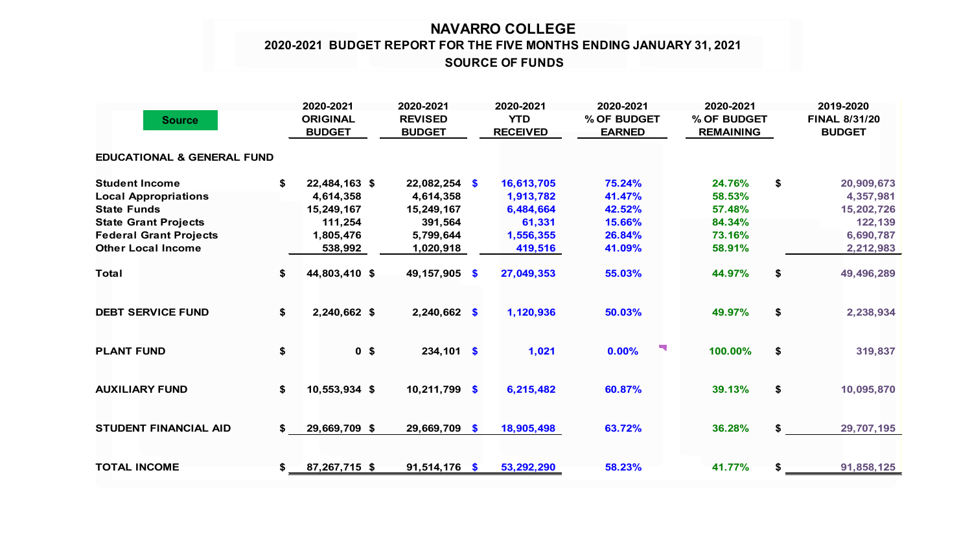## **NAVARRO COLLEGE SOURCE OF FUNDS 2020-2021 BUDGET REPORT FOR THE FIVE MONTHS ENDING JANUARY 31, 2021**

| <b>Source</b>                         |    | 2020-2021<br><b>ORIGINAL</b><br><b>BUDGET</b> | 2020-2021<br><b>REVISED</b><br><b>BUDGET</b> |           | 2020-2021<br><b>YTD</b><br><b>RECEIVED</b> | 2020-2021<br>% OF BUDGET<br><b>EARNED</b> |  | 2020-2021<br>% OF BUDGET<br><b>REMAINING</b> |    | 2019-2020<br><b>FINAL 8/31/20</b><br><b>BUDGET</b> |  |
|---------------------------------------|----|-----------------------------------------------|----------------------------------------------|-----------|--------------------------------------------|-------------------------------------------|--|----------------------------------------------|----|----------------------------------------------------|--|
| <b>EDUCATIONAL &amp; GENERAL FUND</b> |    |                                               |                                              |           |                                            |                                           |  |                                              |    |                                                    |  |
| <b>Student Income</b>                 | \$ | 22,484,163 \$                                 | $22,082,254$ \$                              |           | 16,613,705                                 | 75.24%                                    |  | 24.76%                                       | \$ | 20,909,673                                         |  |
| <b>Local Appropriations</b>           |    | 4,614,358                                     | 4,614,358                                    |           | 1,913,782                                  | 41.47%                                    |  | 58.53%                                       |    | 4,357,981                                          |  |
| <b>State Funds</b>                    |    | 15,249,167                                    | 15,249,167                                   |           | 6,484,664                                  | 42.52%                                    |  | 57.48%                                       |    | 15,202,726                                         |  |
| <b>State Grant Projects</b>           |    | 111,254                                       | 391,564                                      |           | 61,331                                     | 15.66%                                    |  | 84.34%                                       |    | 122,139                                            |  |
| <b>Federal Grant Projects</b>         |    | 1,805,476                                     | 5,799,644                                    |           | 1,556,355                                  | 26.84%                                    |  | 73.16%                                       |    | 6,690,787                                          |  |
| <b>Other Local Income</b>             |    | 538,992                                       | 1,020,918                                    |           | 419,516                                    | 41.09%                                    |  | 58.91%                                       |    | 2,212,983                                          |  |
| <b>Total</b>                          | \$ | 44,803,410 \$                                 | 49, 157, 905                                 | $\bullet$ | 27,049,353                                 | 55.03%                                    |  | 44.97%                                       | \$ | 49,496,289                                         |  |
| <b>DEBT SERVICE FUND</b>              | \$ | 2,240,662 \$                                  | 2,240,662 \$                                 |           | 1,120,936                                  | 50.03%                                    |  | 49.97%                                       | \$ | 2,238,934                                          |  |
| <b>PLANT FUND</b>                     | \$ | 0 <sup>5</sup>                                | $234,101$ \$                                 |           | 1,021                                      | 0.00%                                     |  | 100.00%                                      | \$ | 319,837                                            |  |
| <b>AUXILIARY FUND</b>                 | \$ | 10,553,934 \$                                 | 10,211,799                                   | - \$      | 6,215,482                                  | 60.87%                                    |  | 39.13%                                       | \$ | 10,095,870                                         |  |
| <b>STUDENT FINANCIAL AID</b>          | \$ | 29,669,709 \$                                 | 29,669,709 \$                                |           | 18,905,498                                 | 63.72%                                    |  | 36.28%                                       | \$ | 29,707,195                                         |  |
| <b>TOTAL INCOME</b>                   | \$ | 87,267,715 \$                                 | 91,514,176                                   | - \$      | 53,292,290                                 | 58.23%                                    |  | 41.77%                                       | \$ | 91,858,125                                         |  |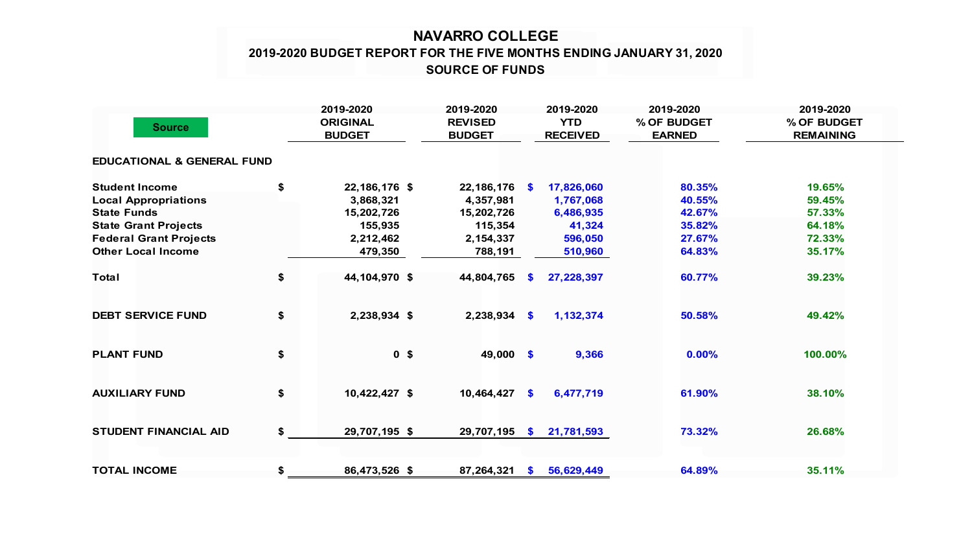## **NAVARRO COLLEGE 2019-2020 BUDGET REPORT FOR THE FIVE MONTHS ENDING JANUARY 31, 2020 SOURCE OF FUNDS**

| <b>Source</b>                         |    | 2019-2020<br><b>ORIGINAL</b><br><b>BUDGET</b> | 2019-2020<br><b>REVISED</b><br><b>BUDGET</b> |           | 2019-2020<br><b>YTD</b><br><b>RECEIVED</b> | 2019-2020<br>% OF BUDGET<br><b>EARNED</b> | 2019-2020<br>% OF BUDGET<br><b>REMAINING</b> |  |
|---------------------------------------|----|-----------------------------------------------|----------------------------------------------|-----------|--------------------------------------------|-------------------------------------------|----------------------------------------------|--|
| <b>EDUCATIONAL &amp; GENERAL FUND</b> |    |                                               |                                              |           |                                            |                                           |                                              |  |
| <b>Student Income</b>                 | \$ | 22, 186, 176 \$                               | 22, 186, 176                                 | <b>S</b>  | 17,826,060                                 | 80.35%                                    | 19.65%                                       |  |
| <b>Local Appropriations</b>           |    | 3,868,321                                     | 4,357,981                                    |           | 1,767,068                                  | 40.55%                                    | 59.45%                                       |  |
| <b>State Funds</b>                    |    | 15,202,726                                    | 15,202,726                                   |           | 6,486,935                                  | 42.67%                                    | 57.33%                                       |  |
| <b>State Grant Projects</b>           |    | 155,935                                       | 115,354                                      |           | 41,324                                     | 35.82%                                    | 64.18%                                       |  |
| <b>Federal Grant Projects</b>         |    | 2,212,462                                     | 2,154,337                                    |           | 596,050                                    | 27.67%                                    | 72.33%                                       |  |
| <b>Other Local Income</b>             |    | 479,350                                       | 788,191                                      |           | 510,960                                    | 64.83%                                    | 35.17%                                       |  |
| <b>Total</b>                          | \$ | 44,104,970 \$                                 | 44,804,765                                   | S.        | 27,228,397                                 | 60.77%                                    | 39.23%                                       |  |
| <b>DEBT SERVICE FUND</b>              | \$ | 2,238,934 \$                                  | 2,238,934                                    | $\bullet$ | 1,132,374                                  | 50.58%                                    | 49.42%                                       |  |
| <b>PLANT FUND</b>                     | \$ | 0 <sup>5</sup>                                | 49,000 \$                                    |           | 9,366                                      | 0.00%                                     | 100.00%                                      |  |
| <b>AUXILIARY FUND</b>                 | \$ | 10,422,427 \$                                 | 10,464,427                                   | $\bullet$ | 6,477,719                                  | 61.90%                                    | 38.10%                                       |  |
| <b>STUDENT FINANCIAL AID</b>          | \$ | 29,707,195 \$                                 | 29,707,195                                   | $\bullet$ | 21,781,593                                 | 73.32%                                    | 26.68%                                       |  |
| <b>TOTAL INCOME</b>                   | \$ | 86,473,526 \$                                 | 87,264,321                                   | S.        | 56,629,449                                 | 64.89%                                    | 35.11%                                       |  |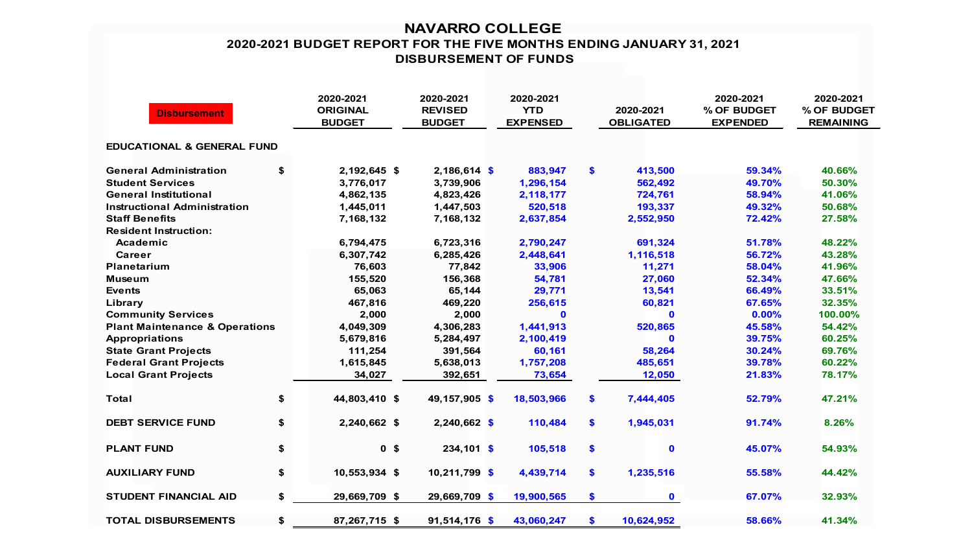## **NAVARRO COLLEGE 2020-2021 BUDGET REPORT FOR THE FIVE MONTHS ENDING JANUARY 31, 2021 DISBURSEMENT OF FUNDS**

| <b>Disbursement</b>                       | 2020-2021<br><b>ORIGINAL</b><br><b>BUDGET</b> | 2020-2021<br><b>REVISED</b><br><b>BUDGET</b> | 2020-2021<br><b>YTD</b><br><b>EXPENSED</b> | 2020-2021<br><b>OBLIGATED</b> | 2020-2021<br>% OF BUDGET<br><b>EXPENDED</b> | 2020-2021<br>% OF BUDGET<br><b>REMAINING</b> |
|-------------------------------------------|-----------------------------------------------|----------------------------------------------|--------------------------------------------|-------------------------------|---------------------------------------------|----------------------------------------------|
| <b>EDUCATIONAL &amp; GENERAL FUND</b>     |                                               |                                              |                                            |                               |                                             |                                              |
| <b>General Administration</b>             | \$<br>2,192,645 \$                            | $2,186,614$ \$                               | 883,947                                    | \$<br>413,500                 | 59.34%                                      | 40.66%                                       |
| <b>Student Services</b>                   | 3,776,017                                     | 3,739,906                                    | 1,296,154                                  | 562,492                       | 49.70%                                      | 50.30%                                       |
| <b>General Institutional</b>              | 4,862,135                                     | 4,823,426                                    | 2,118,177                                  | 724,761                       | 58.94%                                      | 41.06%                                       |
| <b>Instructional Administration</b>       | 1,445,011                                     | 1,447,503                                    | 520,518                                    | 193,337                       | 49.32%                                      | 50.68%                                       |
| <b>Staff Benefits</b>                     | 7,168,132                                     | 7,168,132                                    | 2,637,854                                  | 2,552,950                     | 72.42%                                      | 27.58%                                       |
| <b>Resident Instruction:</b>              |                                               |                                              |                                            |                               |                                             |                                              |
| Academic                                  | 6,794,475                                     | 6,723,316                                    | 2,790,247                                  | 691,324                       | 51.78%                                      | 48.22%                                       |
| Career                                    | 6,307,742                                     | 6,285,426                                    | 2,448,641                                  | 1,116,518                     | 56.72%                                      | 43.28%                                       |
| <b>Planetarium</b>                        | 76,603                                        | 77,842                                       | 33,906                                     | 11,271                        | 58.04%                                      | 41.96%                                       |
| <b>Museum</b>                             | 155,520                                       | 156,368                                      | 54,781                                     | 27,060                        | 52.34%                                      | 47.66%                                       |
| <b>Events</b>                             | 65,063                                        | 65,144                                       | 29,771                                     | 13,541                        | 66.49%                                      | 33.51%                                       |
| Library                                   | 467,816                                       | 469,220                                      | 256,615                                    | 60,821                        | 67.65%                                      | 32.35%                                       |
| <b>Community Services</b>                 | 2,000                                         | 2,000                                        | $\mathbf 0$                                | $\mathbf{0}$                  | 0.00%                                       | 100.00%                                      |
| <b>Plant Maintenance &amp; Operations</b> | 4,049,309                                     | 4,306,283                                    | 1,441,913                                  | 520,865                       | 45.58%                                      | 54.42%                                       |
| <b>Appropriations</b>                     | 5,679,816                                     | 5,284,497                                    | 2,100,419                                  | $\bf{0}$                      | 39.75%                                      | 60.25%                                       |
| <b>State Grant Projects</b>               | 111,254                                       | 391,564                                      | 60,161                                     | 58,264                        | 30.24%                                      | 69.76%                                       |
| <b>Federal Grant Projects</b>             | 1,615,845                                     | 5,638,013                                    | 1,757,208                                  | 485,651                       | 39.78%                                      | 60.22%                                       |
| <b>Local Grant Projects</b>               | 34,027                                        | 392,651                                      | 73,654                                     | 12,050                        | 21.83%                                      | 78.17%                                       |
| <b>Total</b>                              | \$<br>44,803,410 \$                           | 49,157,905 \$                                | 18,503,966                                 | \$<br>7,444,405               | 52.79%                                      | 47.21%                                       |
| <b>DEBT SERVICE FUND</b>                  | \$<br>2,240,662 \$                            | $2,240,662$ \$                               | 110,484                                    | \$<br>1,945,031               | 91.74%                                      | 8.26%                                        |
| <b>PLANT FUND</b>                         | \$<br>0 <sup>5</sup>                          | $234,101$ \$                                 | 105,518                                    | \$<br>$\mathbf 0$             | 45.07%                                      | 54.93%                                       |
| <b>AUXILIARY FUND</b>                     | \$<br>10,553,934 \$                           | 10,211,799 \$                                | 4,439,714                                  | \$<br>1,235,516               | 55.58%                                      | 44.42%                                       |
| <b>STUDENT FINANCIAL AID</b>              | \$<br>29,669,709 \$                           | 29,669,709 \$                                | 19,900,565                                 | \$<br>$\mathbf{0}$            | 67.07%                                      | 32.93%                                       |
| <b>TOTAL DISBURSEMENTS</b>                | \$<br>87,267,715 \$                           | $91,514,176$ \$                              | 43,060,247                                 | \$<br>10,624,952              | 58.66%                                      | 41.34%                                       |